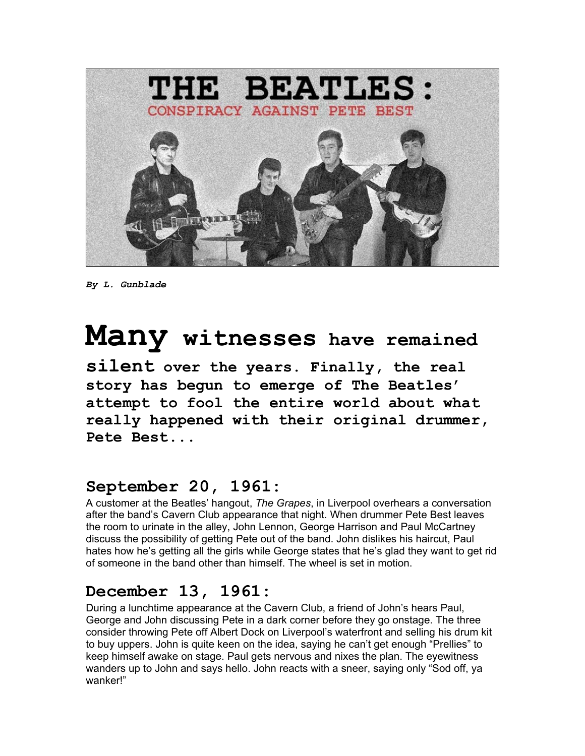

*By L. Gunblade* 

# **Many witnesses have remained**

**silent over the years. Finally, the real story has begun to emerge of The Beatles' attempt to fool the entire world about what really happened with their original drummer, Pete Best...** 

#### **September 20, 1961:**

A customer at the Beatles' hangout, *The Grapes*, in Liverpool overhears a conversation after the band's Cavern Club appearance that night. When drummer Pete Best leaves the room to urinate in the alley, John Lennon, George Harrison and Paul McCartney discuss the possibility of getting Pete out of the band. John dislikes his haircut, Paul hates how he's getting all the girls while George states that he's glad they want to get rid of someone in the band other than himself. The wheel is set in motion.

#### **December 13, 1961:**

During a lunchtime appearance at the Cavern Club, a friend of John's hears Paul, George and John discussing Pete in a dark corner before they go onstage. The three consider throwing Pete off Albert Dock on Liverpool's waterfront and selling his drum kit to buy uppers. John is quite keen on the idea, saying he can't get enough "Prellies" to keep himself awake on stage. Paul gets nervous and nixes the plan. The eyewitness wanders up to John and says hello. John reacts with a sneer, saying only "Sod off, ya wanker!"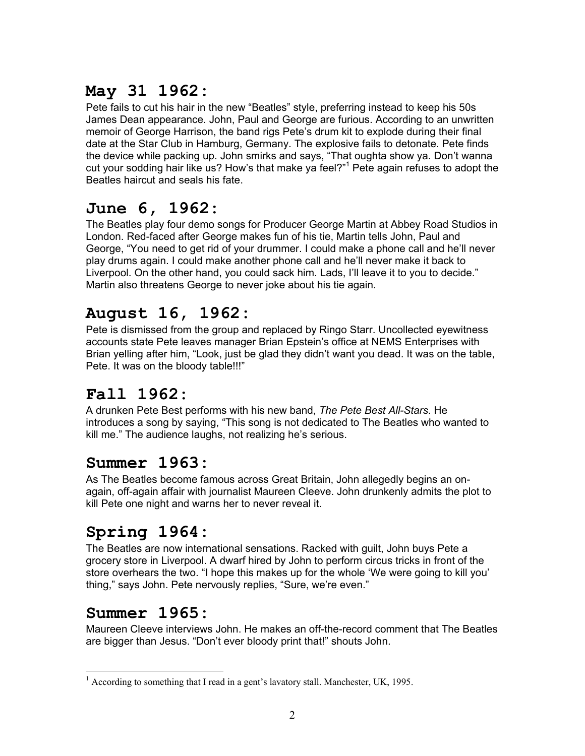# **May 31 1962:**

Pete fails to cut his hair in the new "Beatles" style, preferring instead to keep his 50s James Dean appearance. John, Paul and George are furious. According to an unwritten memoir of George Harrison, the band rigs Pete's drum kit to explode during their final date at the Star Club in Hamburg, Germany. The explosive fails to detonate. Pete finds the device while packing up. John smirks and says, "That oughta show ya. Don't wanna cut your sodding hair like us? How's that make ya feel?"<sup>1</sup> Pete again refuses to adopt the Beatles haircut and seals his fate.

## **June 6, 1962:**

The Beatles play four demo songs for Producer George Martin at Abbey Road Studios in London. Red-faced after George makes fun of his tie, Martin tells John, Paul and George, "You need to get rid of your drummer. I could make a phone call and he'll never play drums again. I could make another phone call and he'll never make it back to Liverpool. On the other hand, you could sack him. Lads, I'll leave it to you to decide." Martin also threatens George to never joke about his tie again.

# **August 16, 1962:**

Pete is dismissed from the group and replaced by Ringo Starr. Uncollected eyewitness accounts state Pete leaves manager Brian Epstein's office at NEMS Enterprises with Brian yelling after him, "Look, just be glad they didn't want you dead. It was on the table, Pete. It was on the bloody table!!!"

## **Fall 1962:**

A drunken Pete Best performs with his new band, *The Pete Best All-Stars*. He introduces a song by saying, "This song is not dedicated to The Beatles who wanted to kill me." The audience laughs, not realizing he's serious.

#### **Summer 1963:**

As The Beatles become famous across Great Britain, John allegedly begins an onagain, off-again affair with journalist Maureen Cleeve. John drunkenly admits the plot to kill Pete one night and warns her to never reveal it.

# **Spring 1964:**

The Beatles are now international sensations. Racked with guilt, John buys Pete a grocery store in Liverpool. A dwarf hired by John to perform circus tricks in front of the store overhears the two. "I hope this makes up for the whole 'We were going to kill you' thing," says John. Pete nervously replies, "Sure, we're even."

## **Summer 1965:**

Maureen Cleeve interviews John. He makes an off-the-record comment that The Beatles are bigger than Jesus. "Don't ever bloody print that!" shouts John.

<span id="page-1-0"></span> $\overline{a}$ <sup>1</sup> According to something that I read in a gent's lavatory stall. Manchester, UK, 1995.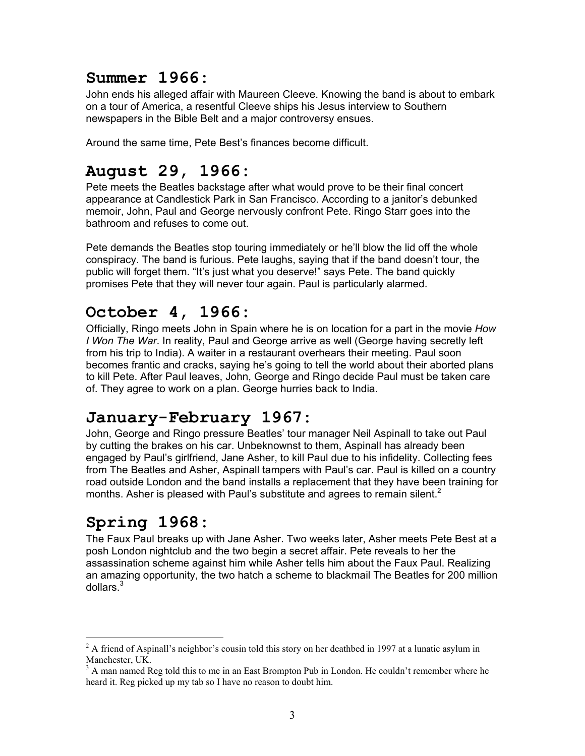#### **Summer 1966:**

John ends his alleged affair with Maureen Cleeve. Knowing the band is about to embark on a tour of America, a resentful Cleeve ships his Jesus interview to Southern newspapers in the Bible Belt and a major controversy ensues.

Around the same time, Pete Best's finances become difficult.

## **August 29, 1966:**

Pete meets the Beatles backstage after what would prove to be their final concert appearance at Candlestick Park in San Francisco. According to a janitor's debunked memoir, John, Paul and George nervously confront Pete. Ringo Starr goes into the bathroom and refuses to come out.

Pete demands the Beatles stop touring immediately or he'll blow the lid off the whole conspiracy. The band is furious. Pete laughs, saying that if the band doesn't tour, the public will forget them. "It's just what you deserve!" says Pete. The band quickly promises Pete that they will never tour again. Paul is particularly alarmed.

## **October 4, 1966:**

Officially, Ringo meets John in Spain where he is on location for a part in the movie *How I Won The War*. In reality, Paul and George arrive as well (George having secretly left from his trip to India). A waiter in a restaurant overhears their meeting. Paul soon becomes frantic and cracks, saying he's going to tell the world about their aborted plans to kill Pete. After Paul leaves, John, George and Ringo decide Paul must be taken care of. They agree to work on a plan. George hurries back to India.

#### **January-February 1967:**

John, George and Ringo pressure Beatles' tour manager Neil Aspinall to take out Paul by cutting the brakes on his car. Unbeknownst to them, Aspinall has already been engaged by Paul's girlfriend, Jane Asher, to kill Paul due to his infidelity. Collecting fees from The Beatles and Asher, Aspinall tampers with Paul's car. Paul is killed on a country road outside London and the band installs a replacement that they have been training for months. Asher is pleased with Paul's substitute and agrees to remain silent.<sup>[2](#page-2-0)</sup>

# **Spring 1968:**

 $\overline{a}$ 

The Faux Paul breaks up with Jane Asher. Two weeks later, Asher meets Pete Best at a posh London nightclub and the two begin a secret affair. Pete reveals to her the assassination scheme against him while Asher tells him about the Faux Paul. Realizing an amazing opportunity, the two hatch a scheme to blackmail The Beatles for 200 million dollars[.3](#page-2-1)

<span id="page-2-0"></span> $2^2$  A friend of Aspinall's neighbor's cousin told this story on her deathbed in 1997 at a lunatic asylum in Manchester, UK.

<span id="page-2-1"></span> $3$  A man named Reg told this to me in an East Brompton Pub in London. He couldn't remember where he heard it. Reg picked up my tab so I have no reason to doubt him.